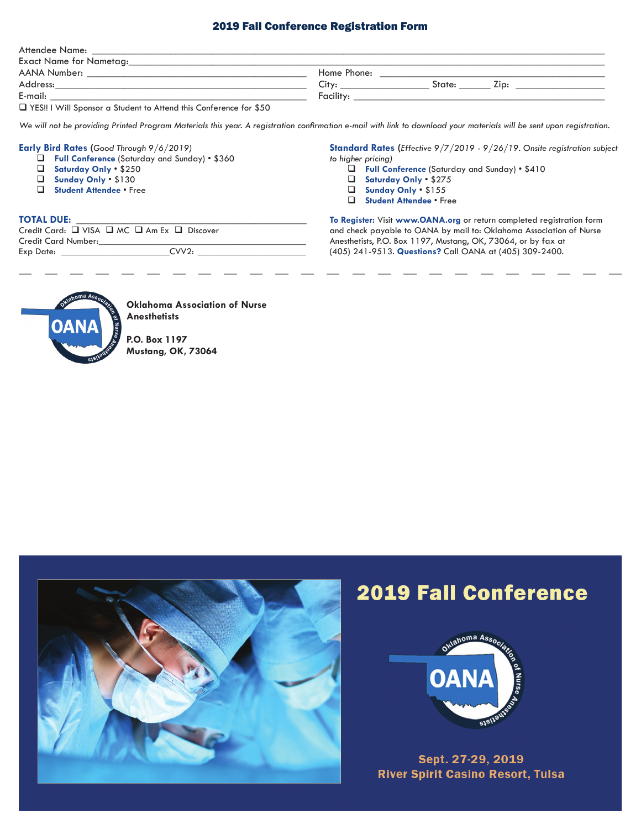### 2019 Fall Conference Registration Form

| Attendee Name:                                                                                                       |             |        |      |  |
|----------------------------------------------------------------------------------------------------------------------|-------------|--------|------|--|
| Exact Name for Nametag:                                                                                              |             |        |      |  |
| AANA Number:                                                                                                         | Home Phone: |        |      |  |
| Address:                                                                                                             | $\cap$ ity: | State: | 7in: |  |
| E-mail:                                                                                                              | Facility:   |        |      |  |
| .<br>the contract of the contract of the contract of the contract of the contract of the contract of the contract of |             |        |      |  |

 $\Box$  YES!! I Will Sponsor a Student to Attend this Conference for \$50

*We will not be providing Printed Program Materials this year. A registration confirmation e-mail with link to download your materials will be sent upon registration.*

#### **Early Bird Rates (***Good Through 9/6/2019)*

- $\Box$  Full Conference (Saturday and Sunday) \$360
- q **Saturday Only** \$250
- q **Sunday Only** \$130
- **Q** Student Attendee Free

#### **TOTAL DUE:**

Credit Card: Q VISA Q MC Q Am Ex Q Discover Credit Card Number: Exp Date: CVV2:

**Standard Rates (***Effective 9/7/2019 - 9/26/19. Onsite registration subject to higher pricing)*

- **Q** Full Conference (Saturday and Sunday) \$410
- q **Saturday Only** \$275
- q **Sunday Only** \$155
- **Q** Student Attendee Free

**To Register:** Visit **www.OANA.org** or return completed registration form and check payable to OANA by mail to: Oklahoma Association of Nurse Anesthetists, P.O. Box 1197, Mustang, OK, 73064, or by fax at (405) 241-9513. **Questions?** Call OANA at (405) 309-2400.



**Oklahoma Association of Nurse Anesthetists**

**P.O. Box 1197 Mustang, OK, 73064**



## **2019 Fall Conference**



Sept. 27-29, 2019 **River Spirit Casino Resort, Tulsa**